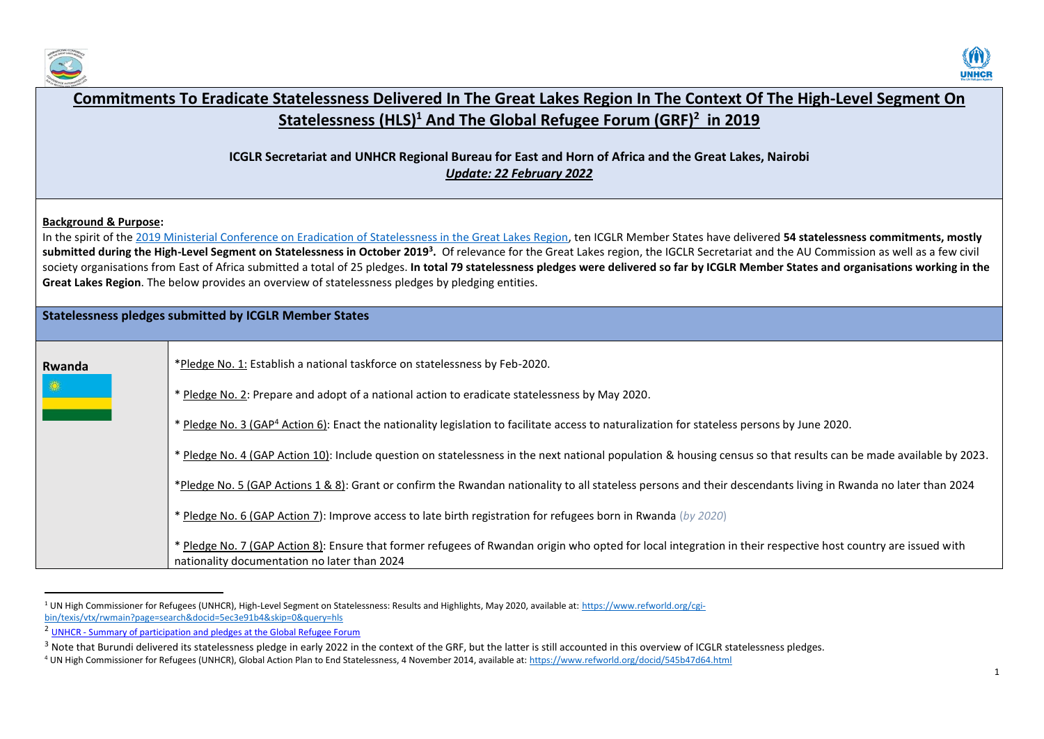



| Commitments To Eradicate Statelessness Delivered In The Great Lakes Region In The Context Of The High-Level Segment On                                                                                                                                                                                                                                                                                                                                                                                                                                                                                                                                                                                                                |                                                                                                                                                                                                               |  |
|---------------------------------------------------------------------------------------------------------------------------------------------------------------------------------------------------------------------------------------------------------------------------------------------------------------------------------------------------------------------------------------------------------------------------------------------------------------------------------------------------------------------------------------------------------------------------------------------------------------------------------------------------------------------------------------------------------------------------------------|---------------------------------------------------------------------------------------------------------------------------------------------------------------------------------------------------------------|--|
|                                                                                                                                                                                                                                                                                                                                                                                                                                                                                                                                                                                                                                                                                                                                       | Statelessness (HLS) <sup>1</sup> And The Global Refugee Forum (GRF) <sup>2</sup> in 2019                                                                                                                      |  |
| <b>ICGLR Secretariat and UNHCR Regional Bureau for East and Horn of Africa and the Great Lakes, Nairobi</b><br><b>Update: 22 February 2022</b>                                                                                                                                                                                                                                                                                                                                                                                                                                                                                                                                                                                        |                                                                                                                                                                                                               |  |
| <b>Background &amp; Purpose:</b><br>In the spirit of the 2019 Ministerial Conference on Eradication of Statelessness in the Great Lakes Region, ten ICGLR Member States have delivered 54 statelessness commitments, mostly<br>submitted during the High-Level Segment on Statelessness in October 2019 <sup>3</sup> . Of relevance for the Great Lakes region, the IGCLR Secretariat and the AU Commission as well as a few civil<br>society organisations from East of Africa submitted a total of 25 pledges. In total 79 statelessness pledges were delivered so far by ICGLR Member States and organisations working in the<br>Great Lakes Region. The below provides an overview of statelessness pledges by pledging entities. |                                                                                                                                                                                                               |  |
| <b>Statelessness pledges submitted by ICGLR Member States</b>                                                                                                                                                                                                                                                                                                                                                                                                                                                                                                                                                                                                                                                                         |                                                                                                                                                                                                               |  |
| Rwanda                                                                                                                                                                                                                                                                                                                                                                                                                                                                                                                                                                                                                                                                                                                                | *Pledge No. 1: Establish a national taskforce on statelessness by Feb-2020.<br>* Pledge No. 2: Prepare and adopt of a national action to eradicate statelessness by May 2020.                                 |  |
|                                                                                                                                                                                                                                                                                                                                                                                                                                                                                                                                                                                                                                                                                                                                       | * Pledge No. 3 (GAP <sup>4</sup> Action 6): Enact the nationality legislation to facilitate access to naturalization for stateless persons by June 2020.                                                      |  |
|                                                                                                                                                                                                                                                                                                                                                                                                                                                                                                                                                                                                                                                                                                                                       | * Pledge No. 4 (GAP Action 10): Include question on statelessness in the next national population & housing census so that results can be made available by 2023.                                             |  |
|                                                                                                                                                                                                                                                                                                                                                                                                                                                                                                                                                                                                                                                                                                                                       | *Pledge No. 5 (GAP Actions 1 & 8): Grant or confirm the Rwandan nationality to all stateless persons and their descendants living in Rwanda no later than 2024                                                |  |
|                                                                                                                                                                                                                                                                                                                                                                                                                                                                                                                                                                                                                                                                                                                                       | * Pledge No. 6 (GAP Action 7): Improve access to late birth registration for refugees born in Rwanda (by 2020)                                                                                                |  |
|                                                                                                                                                                                                                                                                                                                                                                                                                                                                                                                                                                                                                                                                                                                                       | * Pledge No. 7 (GAP Action 8): Ensure that former refugees of Rwandan origin who opted for local integration in their respective host country are issued with<br>nationality documentation no later than 2024 |  |

<sup>&</sup>lt;sup>1</sup> UN High Commissioner for Refugees (UNHCR), High-Level Segment on Statelessness: Results and Highlights, May 2020, available at: <u>https://www.refworld.org/cgi-</u> [bin/texis/vtx/rwmain?page=search&docid=5ec3e91b4&skip=0&query=hls](https://www.refworld.org/cgi-bin/texis/vtx/rwmain?page=search&docid=5ec3e91b4&skip=0&query=hls)

<sup>&</sup>lt;sup>2</sup> UNHCR - [Summary of participation and pledges at the Global Refugee Forum](https://www.unhcr.org/5e20790e4)

<sup>&</sup>lt;sup>3</sup> Note that Burundi delivered its statelessness pledge in early 2022 in the context of the GRF, but the latter is still accounted in this overview of ICGLR statelessness pledges.

<sup>4</sup> UN High Commissioner for Refugees (UNHCR), Global Action Plan to End Statelessness, 4 November 2014, available at[: https://www.refworld.org/docid/545b47d64.html](https://www.refworld.org/docid/545b47d64.html)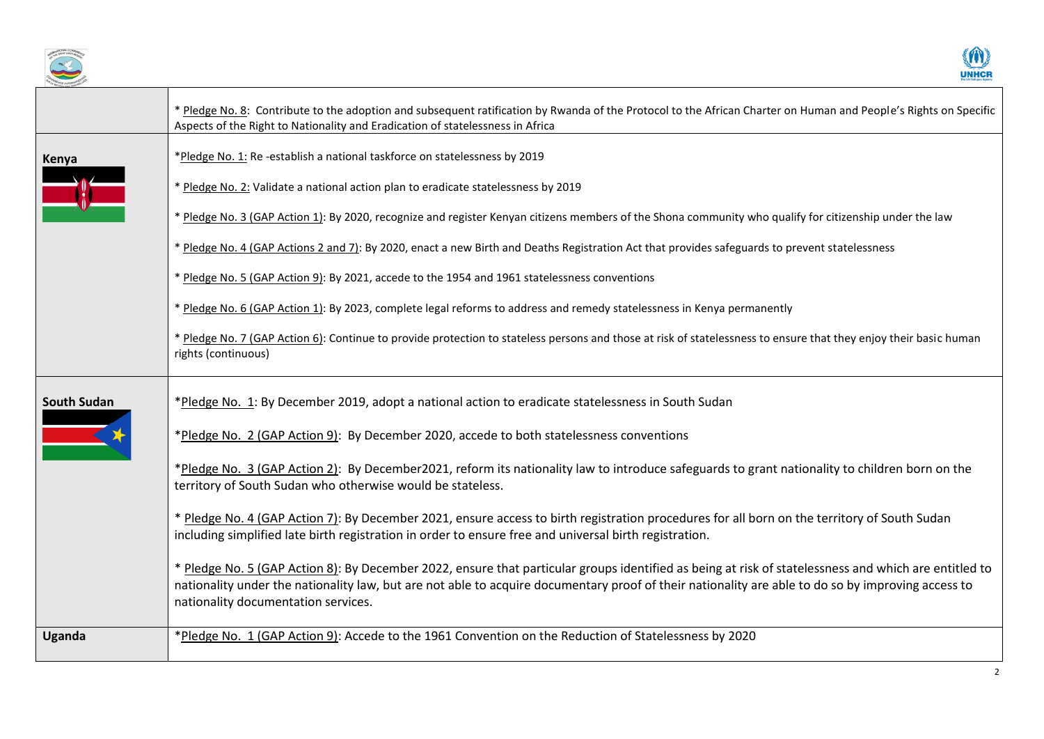



|                    | * Pledge No. 8: Contribute to the adoption and subsequent ratification by Rwanda of the Protocol to the African Charter on Human and People's Rights on Specific<br>Aspects of the Right to Nationality and Eradication of statelessness in Africa                                                                                                 |
|--------------------|----------------------------------------------------------------------------------------------------------------------------------------------------------------------------------------------------------------------------------------------------------------------------------------------------------------------------------------------------|
| Kenya              | *Pledge No. 1: Re-establish a national taskforce on statelessness by 2019                                                                                                                                                                                                                                                                          |
|                    | * Pledge No. 2: Validate a national action plan to eradicate statelessness by 2019                                                                                                                                                                                                                                                                 |
|                    | * Pledge No. 3 (GAP Action 1): By 2020, recognize and register Kenyan citizens members of the Shona community who qualify for citizenship under the law                                                                                                                                                                                            |
|                    | * Pledge No. 4 (GAP Actions 2 and 7): By 2020, enact a new Birth and Deaths Registration Act that provides safeguards to prevent statelessness                                                                                                                                                                                                     |
|                    | * Pledge No. 5 (GAP Action 9): By 2021, accede to the 1954 and 1961 statelessness conventions                                                                                                                                                                                                                                                      |
|                    | * Pledge No. 6 (GAP Action 1): By 2023, complete legal reforms to address and remedy statelessness in Kenya permanently                                                                                                                                                                                                                            |
|                    | * Pledge No. 7 (GAP Action 6): Continue to provide protection to stateless persons and those at risk of statelessness to ensure that they enjoy their basic human<br>rights (continuous)                                                                                                                                                           |
| <b>South Sudan</b> | *Pledge No. 1: By December 2019, adopt a national action to eradicate statelessness in South Sudan                                                                                                                                                                                                                                                 |
|                    | *Pledge No. 2 (GAP Action 9): By December 2020, accede to both statelessness conventions                                                                                                                                                                                                                                                           |
|                    | *Pledge No. 3 (GAP Action 2): By December2021, reform its nationality law to introduce safeguards to grant nationality to children born on the<br>territory of South Sudan who otherwise would be stateless.                                                                                                                                       |
|                    | * Pledge No. 4 (GAP Action 7): By December 2021, ensure access to birth registration procedures for all born on the territory of South Sudan<br>including simplified late birth registration in order to ensure free and universal birth registration.                                                                                             |
|                    | * Pledge No. 5 (GAP Action 8): By December 2022, ensure that particular groups identified as being at risk of statelessness and which are entitled to<br>nationality under the nationality law, but are not able to acquire documentary proof of their nationality are able to do so by improving access to<br>nationality documentation services. |
| <b>Uganda</b>      | *Pledge No. 1 (GAP Action 9): Accede to the 1961 Convention on the Reduction of Statelessness by 2020                                                                                                                                                                                                                                              |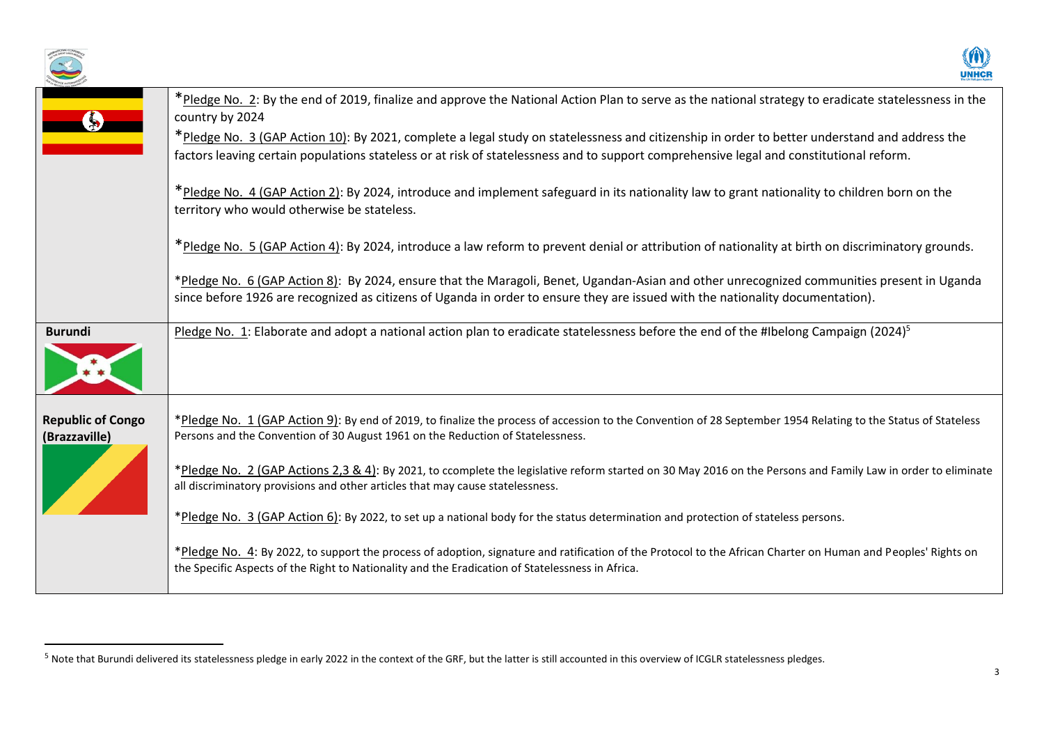



|                                           | *Pledge No. 2: By the end of 2019, finalize and approve the National Action Plan to serve as the national strategy to eradicate statelessness in the<br>country by 2024                                                                                                                  |
|-------------------------------------------|------------------------------------------------------------------------------------------------------------------------------------------------------------------------------------------------------------------------------------------------------------------------------------------|
|                                           | *Pledge No. 3 (GAP Action 10): By 2021, complete a legal study on statelessness and citizenship in order to better understand and address the<br>factors leaving certain populations stateless or at risk of statelessness and to support comprehensive legal and constitutional reform. |
|                                           | *Pledge No. 4 (GAP Action 2): By 2024, introduce and implement safeguard in its nationality law to grant nationality to children born on the<br>territory who would otherwise be stateless.                                                                                              |
|                                           | *Pledge No. 5 (GAP Action 4): By 2024, introduce a law reform to prevent denial or attribution of nationality at birth on discriminatory grounds.                                                                                                                                        |
|                                           | *Pledge No. 6 (GAP Action 8): By 2024, ensure that the Maragoli, Benet, Ugandan-Asian and other unrecognized communities present in Uganda<br>since before 1926 are recognized as citizens of Uganda in order to ensure they are issued with the nationality documentation).             |
| <b>Burundi</b>                            | Pledge No. 1: Elaborate and adopt a national action plan to eradicate statelessness before the end of the #Ibelong Campaign (2024) <sup>5</sup>                                                                                                                                          |
| <b>Republic of Congo</b><br>(Brazzaville) | *Pledge No. 1 (GAP Action 9): By end of 2019, to finalize the process of accession to the Convention of 28 September 1954 Relating to the Status of Stateless<br>Persons and the Convention of 30 August 1961 on the Reduction of Statelessness.                                         |
|                                           | *Pledge No. 2 (GAP Actions 2,3 & 4): By 2021, to ccomplete the legislative reform started on 30 May 2016 on the Persons and Family Law in order to eliminate<br>all discriminatory provisions and other articles that may cause statelessness.                                           |
|                                           | *Pledge No. 3 (GAP Action 6): By 2022, to set up a national body for the status determination and protection of stateless persons.                                                                                                                                                       |
|                                           | *Pledge No. 4: By 2022, to support the process of adoption, signature and ratification of the Protocol to the African Charter on Human and Peoples' Rights on<br>the Specific Aspects of the Right to Nationality and the Eradication of Statelessness in Africa.                        |
|                                           |                                                                                                                                                                                                                                                                                          |

<sup>&</sup>lt;sup>5</sup> Note that Burundi delivered its statelessness pledge in early 2022 in the context of the GRF, but the latter is still accounted in this overview of ICGLR statelessness pledges.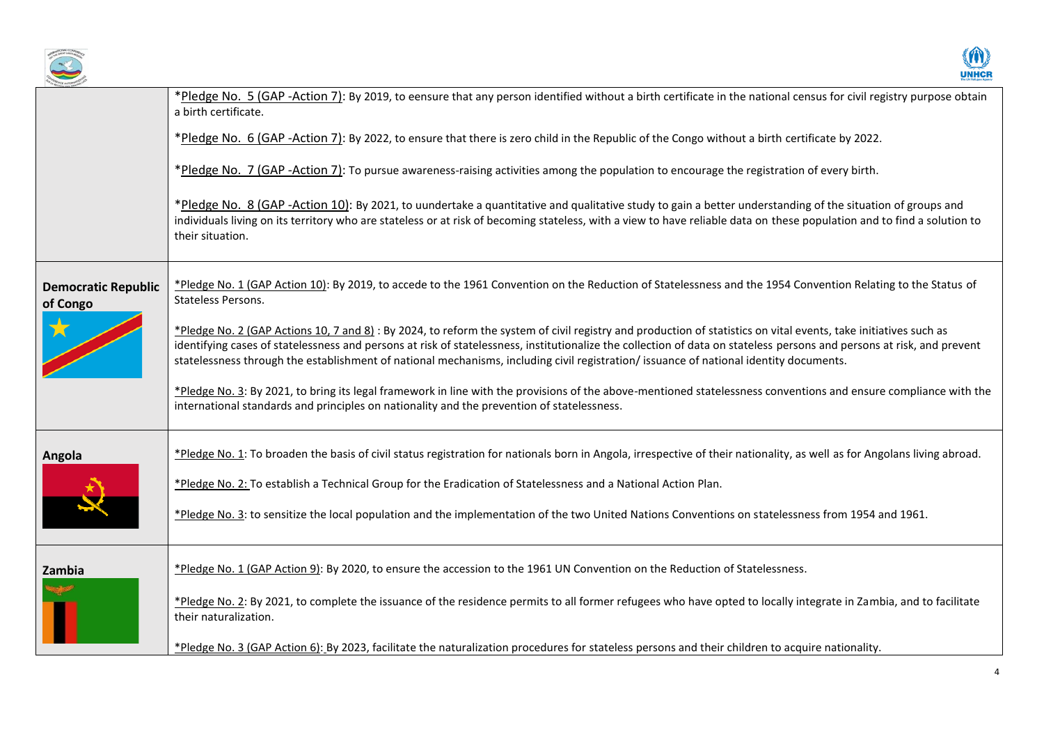



|                                        | *Pledge No. 5 (GAP -Action 7): By 2019, to eensure that any person identified without a birth certificate in the national census for civil registry purpose obtain<br>a birth certificate.                                                                                                                                                                                                                                                                                         |
|----------------------------------------|------------------------------------------------------------------------------------------------------------------------------------------------------------------------------------------------------------------------------------------------------------------------------------------------------------------------------------------------------------------------------------------------------------------------------------------------------------------------------------|
|                                        | *Pledge No. 6 (GAP -Action 7): By 2022, to ensure that there is zero child in the Republic of the Congo without a birth certificate by 2022.                                                                                                                                                                                                                                                                                                                                       |
|                                        | *Pledge No. 7 (GAP -Action 7): To pursue awareness-raising activities among the population to encourage the registration of every birth.                                                                                                                                                                                                                                                                                                                                           |
|                                        | *Pledge No. 8 (GAP -Action 10): By 2021, to uundertake a quantitative and qualitative study to gain a better understanding of the situation of groups and<br>individuals living on its territory who are stateless or at risk of becoming stateless, with a view to have reliable data on these population and to find a solution to<br>their situation.                                                                                                                           |
| <b>Democratic Republic</b><br>of Congo | *Pledge No. 1 (GAP Action 10): By 2019, to accede to the 1961 Convention on the Reduction of Statelessness and the 1954 Convention Relating to the Status of<br>Stateless Persons.                                                                                                                                                                                                                                                                                                 |
|                                        | *Pledge No. 2 (GAP Actions 10, 7 and 8): By 2024, to reform the system of civil registry and production of statistics on vital events, take initiatives such as<br>identifying cases of statelessness and persons at risk of statelessness, institutionalize the collection of data on stateless persons and persons at risk, and prevent<br>statelessness through the establishment of national mechanisms, including civil registration/issuance of national identity documents. |
|                                        | *Pledge No. 3: By 2021, to bring its legal framework in line with the provisions of the above-mentioned statelessness conventions and ensure compliance with the<br>international standards and principles on nationality and the prevention of statelessness.                                                                                                                                                                                                                     |
| Angola                                 | *Pledge No. 1: To broaden the basis of civil status registration for nationals born in Angola, irrespective of their nationality, as well as for Angolans living abroad.                                                                                                                                                                                                                                                                                                           |
|                                        | *Pledge No. 2: To establish a Technical Group for the Eradication of Statelessness and a National Action Plan.                                                                                                                                                                                                                                                                                                                                                                     |
|                                        | *Pledge No. 3: to sensitize the local population and the implementation of the two United Nations Conventions on statelessness from 1954 and 1961.                                                                                                                                                                                                                                                                                                                                 |
| Zambia                                 | *Pledge No. 1 (GAP Action 9): By 2020, to ensure the accession to the 1961 UN Convention on the Reduction of Statelessness.                                                                                                                                                                                                                                                                                                                                                        |
|                                        | *Pledge No. 2: By 2021, to complete the issuance of the residence permits to all former refugees who have opted to locally integrate in Zambia, and to facilitate<br>their naturalization.                                                                                                                                                                                                                                                                                         |
|                                        | *Pledge No. 3 (GAP Action 6): By 2023, facilitate the naturalization procedures for stateless persons and their children to acquire nationality.                                                                                                                                                                                                                                                                                                                                   |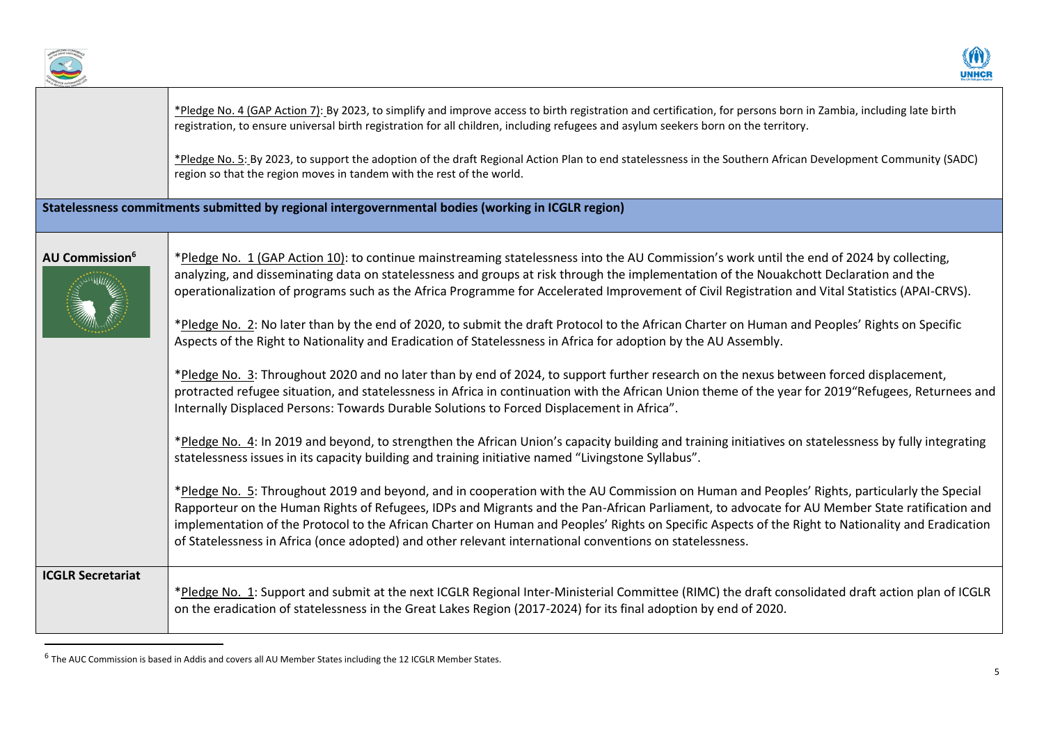



|                            | *Pledge No. 4 (GAP Action 7): By 2023, to simplify and improve access to birth registration and certification, for persons born in Zambia, including late birth<br>registration, to ensure universal birth registration for all children, including refugees and asylum seekers born on the territory.                                                                                                                                                                                                                                                                                                                                                                                                                                                                                                                                                                                                                                                                                                                                                                                                                                                                                                                                                                                                                                                                                                                                                                                                                                                                                                                                                                                                                                                                                                                           |
|----------------------------|----------------------------------------------------------------------------------------------------------------------------------------------------------------------------------------------------------------------------------------------------------------------------------------------------------------------------------------------------------------------------------------------------------------------------------------------------------------------------------------------------------------------------------------------------------------------------------------------------------------------------------------------------------------------------------------------------------------------------------------------------------------------------------------------------------------------------------------------------------------------------------------------------------------------------------------------------------------------------------------------------------------------------------------------------------------------------------------------------------------------------------------------------------------------------------------------------------------------------------------------------------------------------------------------------------------------------------------------------------------------------------------------------------------------------------------------------------------------------------------------------------------------------------------------------------------------------------------------------------------------------------------------------------------------------------------------------------------------------------------------------------------------------------------------------------------------------------|
|                            | *Pledge No. 5: By 2023, to support the adoption of the draft Regional Action Plan to end statelessness in the Southern African Development Community (SADC)<br>region so that the region moves in tandem with the rest of the world.                                                                                                                                                                                                                                                                                                                                                                                                                                                                                                                                                                                                                                                                                                                                                                                                                                                                                                                                                                                                                                                                                                                                                                                                                                                                                                                                                                                                                                                                                                                                                                                             |
|                            | Statelessness commitments submitted by regional intergovernmental bodies (working in ICGLR region)                                                                                                                                                                                                                                                                                                                                                                                                                                                                                                                                                                                                                                                                                                                                                                                                                                                                                                                                                                                                                                                                                                                                                                                                                                                                                                                                                                                                                                                                                                                                                                                                                                                                                                                               |
| AU Commission <sup>6</sup> | *Pledge No. 1 (GAP Action 10): to continue mainstreaming statelessness into the AU Commission's work until the end of 2024 by collecting,<br>analyzing, and disseminating data on statelessness and groups at risk through the implementation of the Nouakchott Declaration and the<br>operationalization of programs such as the Africa Programme for Accelerated Improvement of Civil Registration and Vital Statistics (APAI-CRVS).<br>*Pledge No. 2: No later than by the end of 2020, to submit the draft Protocol to the African Charter on Human and Peoples' Rights on Specific<br>Aspects of the Right to Nationality and Eradication of Statelessness in Africa for adoption by the AU Assembly.<br>*Pledge No. 3: Throughout 2020 and no later than by end of 2024, to support further research on the nexus between forced displacement,<br>protracted refugee situation, and statelessness in Africa in continuation with the African Union theme of the year for 2019"Refugees, Returnees and<br>Internally Displaced Persons: Towards Durable Solutions to Forced Displacement in Africa".<br>*Pledge No. 4: In 2019 and beyond, to strengthen the African Union's capacity building and training initiatives on statelessness by fully integrating<br>statelessness issues in its capacity building and training initiative named "Livingstone Syllabus".<br>*Pledge No. 5: Throughout 2019 and beyond, and in cooperation with the AU Commission on Human and Peoples' Rights, particularly the Special<br>Rapporteur on the Human Rights of Refugees, IDPs and Migrants and the Pan-African Parliament, to advocate for AU Member State ratification and<br>implementation of the Protocol to the African Charter on Human and Peoples' Rights on Specific Aspects of the Right to Nationality and Eradication |
|                            | of Statelessness in Africa (once adopted) and other relevant international conventions on statelessness.                                                                                                                                                                                                                                                                                                                                                                                                                                                                                                                                                                                                                                                                                                                                                                                                                                                                                                                                                                                                                                                                                                                                                                                                                                                                                                                                                                                                                                                                                                                                                                                                                                                                                                                         |
| <b>ICGLR Secretariat</b>   | *Pledge No. 1: Support and submit at the next ICGLR Regional Inter-Ministerial Committee (RIMC) the draft consolidated draft action plan of ICGLR<br>on the eradication of statelessness in the Great Lakes Region (2017-2024) for its final adoption by end of 2020.                                                                                                                                                                                                                                                                                                                                                                                                                                                                                                                                                                                                                                                                                                                                                                                                                                                                                                                                                                                                                                                                                                                                                                                                                                                                                                                                                                                                                                                                                                                                                            |

<sup>&</sup>lt;sup>6</sup> The AUC Commission is based in Addis and covers all AU Member States including the 12 ICGLR Member States.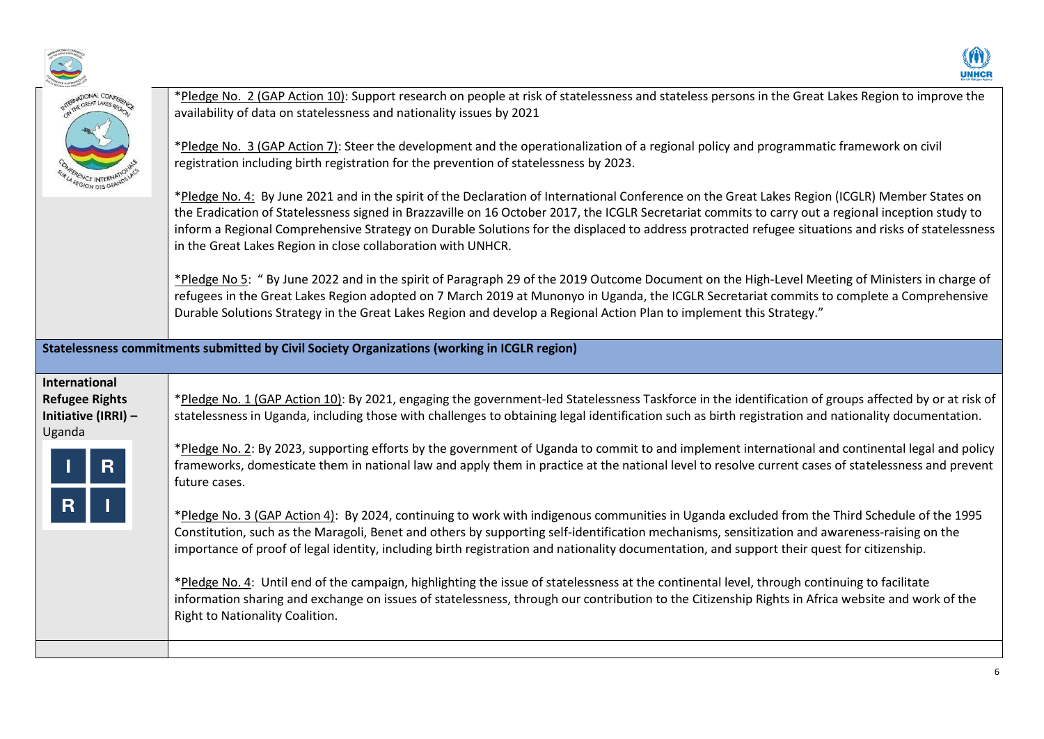



| NATIONAL CONFERER                                                       | *Pledge No. 2 (GAP Action 10): Support research on people at risk of statelessness and stateless persons in the Great Lakes Region to improve the<br>availability of data on statelessness and nationality issues by 2021<br>*Pledge No. 3 (GAP Action 7): Steer the development and the operationalization of a regional policy and programmatic framework on civil<br>registration including birth registration for the prevention of statelessness by 2023.<br>*Pledge No. 4: By June 2021 and in the spirit of the Declaration of International Conference on the Great Lakes Region (ICGLR) Member States on<br>the Eradication of Statelessness signed in Brazzaville on 16 October 2017, the ICGLR Secretariat commits to carry out a regional inception study to<br>inform a Regional Comprehensive Strategy on Durable Solutions for the displaced to address protracted refugee situations and risks of statelessness<br>in the Great Lakes Region in close collaboration with UNHCR.<br>*Pledge No 5: " By June 2022 and in the spirit of Paragraph 29 of the 2019 Outcome Document on the High-Level Meeting of Ministers in charge of<br>refugees in the Great Lakes Region adopted on 7 March 2019 at Munonyo in Uganda, the ICGLR Secretariat commits to complete a Comprehensive<br>Durable Solutions Strategy in the Great Lakes Region and develop a Regional Action Plan to implement this Strategy."          |
|-------------------------------------------------------------------------|-----------------------------------------------------------------------------------------------------------------------------------------------------------------------------------------------------------------------------------------------------------------------------------------------------------------------------------------------------------------------------------------------------------------------------------------------------------------------------------------------------------------------------------------------------------------------------------------------------------------------------------------------------------------------------------------------------------------------------------------------------------------------------------------------------------------------------------------------------------------------------------------------------------------------------------------------------------------------------------------------------------------------------------------------------------------------------------------------------------------------------------------------------------------------------------------------------------------------------------------------------------------------------------------------------------------------------------------------------------------------------------------------------------------------------------|
|                                                                         | Statelessness commitments submitted by Civil Society Organizations (working in ICGLR region)                                                                                                                                                                                                                                                                                                                                                                                                                                                                                                                                                                                                                                                                                                                                                                                                                                                                                                                                                                                                                                                                                                                                                                                                                                                                                                                                      |
| International<br><b>Refugee Rights</b><br>Initiative (IRRI) -<br>Uganda | *Pledge No. 1 (GAP Action 10): By 2021, engaging the government-led Statelessness Taskforce in the identification of groups affected by or at risk of<br>statelessness in Uganda, including those with challenges to obtaining legal identification such as birth registration and nationality documentation.<br>*Pledge No. 2: By 2023, supporting efforts by the government of Uganda to commit to and implement international and continental legal and policy<br>frameworks, domesticate them in national law and apply them in practice at the national level to resolve current cases of statelessness and prevent<br>future cases.<br>*Pledge No. 3 (GAP Action 4): By 2024, continuing to work with indigenous communities in Uganda excluded from the Third Schedule of the 1995<br>Constitution, such as the Maragoli, Benet and others by supporting self-identification mechanisms, sensitization and awareness-raising on the<br>importance of proof of legal identity, including birth registration and nationality documentation, and support their quest for citizenship.<br>*Pledge No. 4: Until end of the campaign, highlighting the issue of statelessness at the continental level, through continuing to facilitate<br>information sharing and exchange on issues of statelessness, through our contribution to the Citizenship Rights in Africa website and work of the<br>Right to Nationality Coalition. |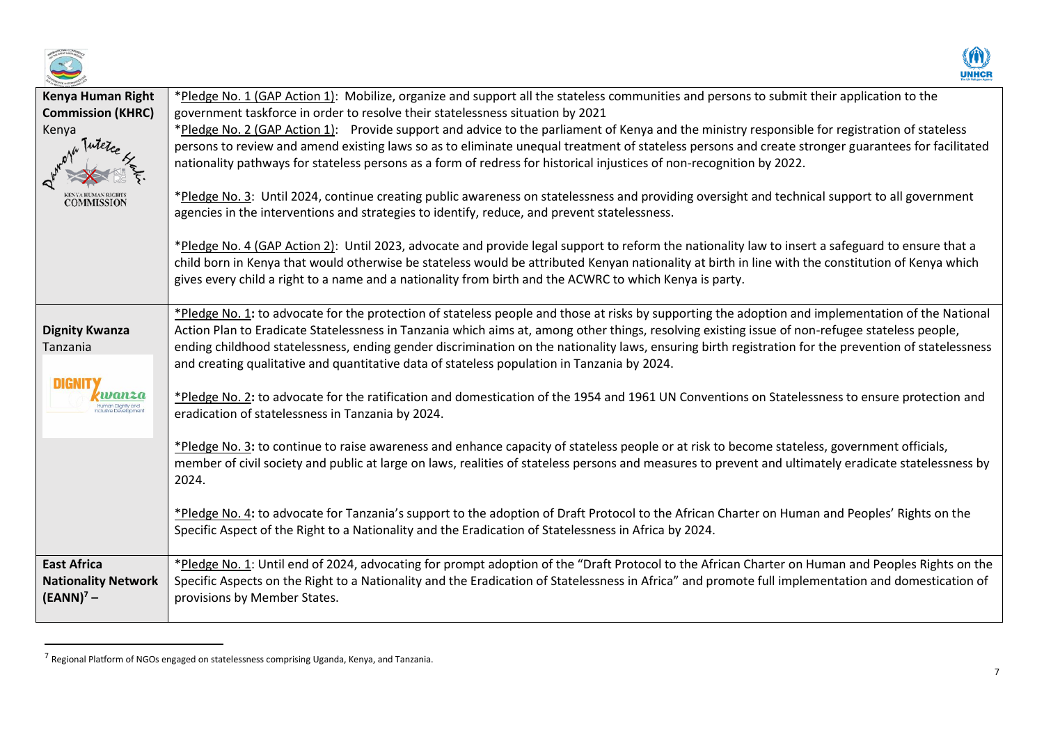



| Kenya Human Right               | *Pledge No. 1 (GAP Action 1): Mobilize, organize and support all the stateless communities and persons to submit their application to the             |
|---------------------------------|-------------------------------------------------------------------------------------------------------------------------------------------------------|
| <b>Commission (KHRC)</b>        | government taskforce in order to resolve their statelessness situation by 2021                                                                        |
| Kenya                           | *Pledge No. 2 (GAP Action 1): Provide support and advice to the parliament of Kenya and the ministry responsible for registration of stateless        |
|                                 | persons to review and amend existing laws so as to eliminate unequal treatment of stateless persons and create stronger guarantees for facilitated    |
|                                 | nationality pathways for stateless persons as a form of redress for historical injustices of non-recognition by 2022.                                 |
| kenyahuman rights<br>COMMISSION | *Pledge No. 3: Until 2024, continue creating public awareness on statelessness and providing oversight and technical support to all government        |
|                                 | agencies in the interventions and strategies to identify, reduce, and prevent statelessness.                                                          |
|                                 |                                                                                                                                                       |
|                                 | *Pledge No. 4 (GAP Action 2): Until 2023, advocate and provide legal support to reform the nationality law to insert a safeguard to ensure that a     |
|                                 | child born in Kenya that would otherwise be stateless would be attributed Kenyan nationality at birth in line with the constitution of Kenya which    |
|                                 | gives every child a right to a name and a nationality from birth and the ACWRC to which Kenya is party.                                               |
|                                 |                                                                                                                                                       |
|                                 | *Pledge No. 1: to advocate for the protection of stateless people and those at risks by supporting the adoption and implementation of the National    |
| <b>Dignity Kwanza</b>           | Action Plan to Eradicate Statelessness in Tanzania which aims at, among other things, resolving existing issue of non-refugee stateless people,       |
| Tanzania                        | ending childhood statelessness, ending gender discrimination on the nationality laws, ensuring birth registration for the prevention of statelessness |
|                                 | and creating qualitative and quantitative data of stateless population in Tanzania by 2024.                                                           |
| <b>DIGNIT</b>                   |                                                                                                                                                       |
|                                 | *Pledge No. 2: to advocate for the ratification and domestication of the 1954 and 1961 UN Conventions on Statelessness to ensure protection and       |
|                                 | eradication of statelessness in Tanzania by 2024.                                                                                                     |
|                                 |                                                                                                                                                       |
|                                 | *Pledge No. 3: to continue to raise awareness and enhance capacity of stateless people or at risk to become stateless, government officials,          |
|                                 | member of civil society and public at large on laws, realities of stateless persons and measures to prevent and ultimately eradicate statelessness by |
|                                 | 2024.                                                                                                                                                 |
|                                 |                                                                                                                                                       |
|                                 | *Pledge No. 4: to advocate for Tanzania's support to the adoption of Draft Protocol to the African Charter on Human and Peoples' Rights on the        |
|                                 | Specific Aspect of the Right to a Nationality and the Eradication of Statelessness in Africa by 2024.                                                 |
|                                 |                                                                                                                                                       |
| <b>East Africa</b>              | *Pledge No. 1: Until end of 2024, advocating for prompt adoption of the "Draft Protocol to the African Charter on Human and Peoples Rights on the     |
| <b>Nationality Network</b>      | Specific Aspects on the Right to a Nationality and the Eradication of Statelessness in Africa" and promote full implementation and domestication of   |
| $(EANN)7$ –                     | provisions by Member States.                                                                                                                          |
|                                 |                                                                                                                                                       |

<sup>&</sup>lt;sup>7</sup> Regional Platform of NGOs engaged on statelessness comprising Uganda, Kenya, and Tanzania.